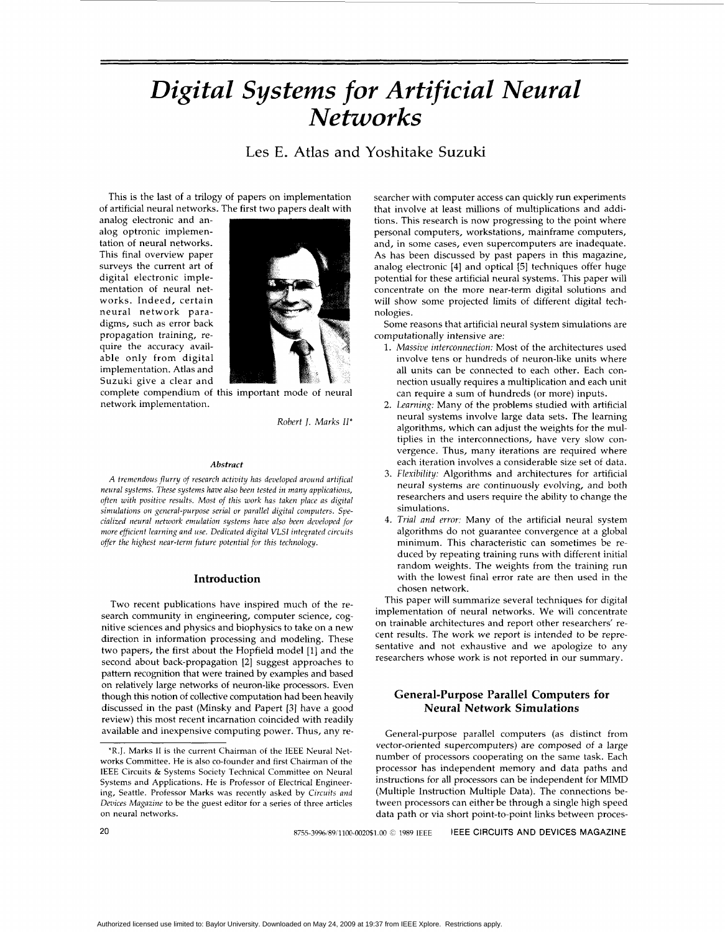# *Digital Systems for Artificial Neural Networks*

# Les *E.* Atlas and Yoshitake Suzuki

This is the last of a trilogy of papers on implementation of artificial neural networks. The first two papers dealt with

analog electronic and analog optronic implementation of neural networks. This final overview paper surveys the current art of digital electronic implementation of neural networks. Indeed, certain neural network paradigms, such as error back propagation training, require the accuracy available only from digital implementation. Atlas and Suzuki give a clear and



complete compendium of this important mode of neural network implementation.

*Robert 1. Marks ll\** 

#### *Abstract*

A tremendous flurry of research activity has developed around artifical *neural systems. These systems have also been tested in many applications, often with positizie results.* Most *of this work has taken place as digital simulations on general-purpose serial* **or** *parallel digital computers. Specialized neural network emulation systems have also been developed for more efficient learning and use. Dedicated digital VLSI integrated circuits offer the highest near-term future potential for this technology.* 

#### **Introduction**

Two recent publications have inspired much of the research community in engineering, computer science, cognitive sciences and physics and biophysics to take on a new direction in information processing and modeling. These two papers, the first about the Hopfield model [l] and the second about back-propagation *[2]* suggest approaches to pattern recognition that were trained by examples and based on relatively large networks of neuron-like processors. Even though this notion of collective computation had been heavily discussed in the past (Minsky and Papert **[3]** have a good review) this most recent incarnation coincided with readily available and inexpensive computing power. Thus, any researcher with computer access can quickly run experiments that involve at least millions of multiplications and additions. This research is now progressing to the point where personal computers, workstations, mainframe computers, and, in some cases, even supercomputers are inadequate. **As** has been discussed by past papers in this magazine, analog electronic [4] and optical *[5]* techniques offer huge potential for these artificial neural systems. This paper will concentrate on the more near-term digital solutions and will show some projected limits of different digital technologies.

Some reasons that artificial neural system simulations are computationally intensive are:

- 1. *Massive interconnection:* Most of the architectures used involve tens or hundreds of neuron-like units where all units can be connected to each other. Each connection usually requires a multiplication and each unit can require a sum of hundreds (or more) inputs.
- *2. Learning:* Many of the problems studied with artificial neural systems involve large data sets. The learning algorithms, which can adjust the weights for the multiplies in the interconnections, have very slow convergence. Thus, many iterations are required where each iteration involves a considerable size set of data.
- **3.** *Flexibility:* Algorithms and architectures for artificial neural systems are continuously evolving, and both researchers and users require the ability to change the simulations.
- **4.** *Trial and error:* Many of the artificial neural system algorithms do not guarantee convergence at a global minimum. This characteristic can sometimes be reduced by repeating training runs with different initial random weights. The weights from the training run with the lowest final error rate are then used in the chosen network.

This paper will summarize several techniques for digital implementation of neural networks. We will concentrate on trainable architectures and report other researchers' recent results. The work we report is intended to be representative and not exhaustive and we apologize to any researchers whose work is not reported in our summary.

# **General-Purpose Parallel Computers for Neural Network Simulations**

General-purpose parallel computers (as distinct from vector-oriented supercomputers) are composed of a large number of processors cooperating on the same task. Each processor has independent memory and data paths and instructions for all processors can be independent for MIMD (Multiple Instruction Multiple Data). The connections between processors can either be through a single high speed data path or via short point-to-point links between proces-

————————————————————

**20 20 20 8755-3996/89/1100-0020\$1.00 C** 1989 IEEE **CIRCUITS AND DEVICES MAGAZINE** 

<sup>&#</sup>x27;R.J. Marks I1 is the current Chairman of the IEEE Neural Networks Committee. He is also co-founder and first Chairman of the IEEE Circuits & Systems Society Technical Committee on Neural Systems and Applications. He is Professor of Electrical Engneering, Seattle. Professor Marks was recently asked by *Circuits and Denices Magazine* to be the guest editor for a series of three articles on neural networks.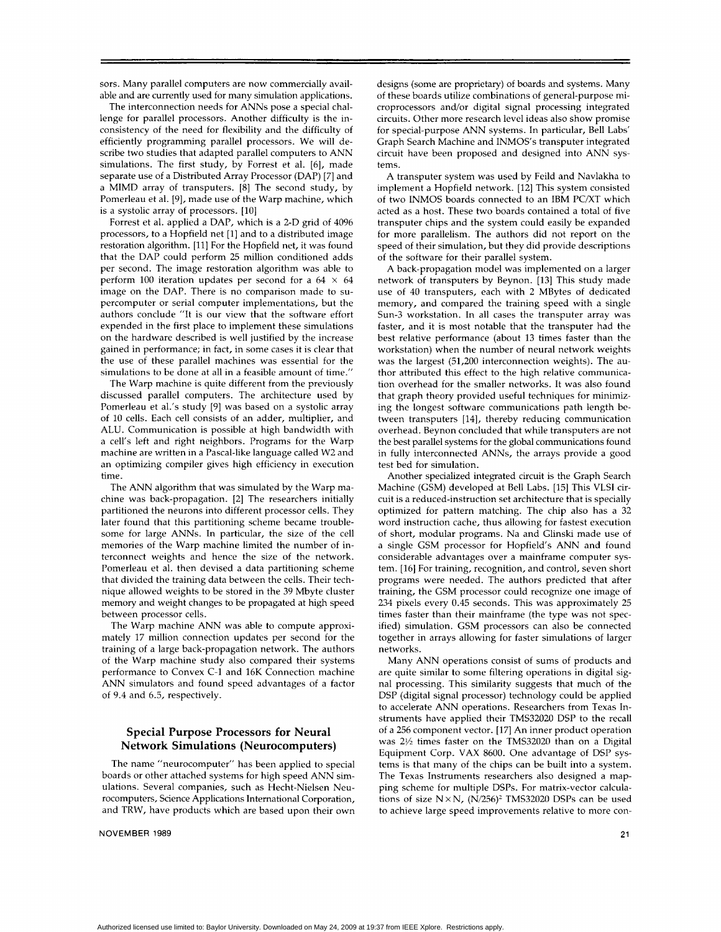sors. Many parallel computers are now commercially available and are currently used for many simulation applications.

The interconnection needs for ANNs pose a special challenge for parallel processors. Another difficulty is the inconsistency of the need for flexibility and the difficulty of efficiently programming parallel processors. We will describe two studies that adapted parallel computers to ANN simulations. The first study, by Forrest et al. [6], made separate use of a Distributed Array Processor (DAP) [7] and a MIMD array of transputers. [8] The second study, by Pomerleau et al. [9], made use of the Warp machine, which is a systolic array of processors. [10]

Forrest et al. applied a DAP, which is a 2-D grid of 4096 processors, to a Hopfield net [l] and to a distributed image restoration algorithm. [11] For the Hopfield net, it was found that the DAP could perform 25 million conditioned adds per second. The image restoration algorithm was able to perform 100 iteration updates per second for a  $64 \times 64$ image on the DAP. There is no comparison made to supercomputer or serial computer implementations, but the authors conclude "It is our view that the software effort expended in the first place to implement these simulations on the hardware described is well justified by the increase gained in performance; in fact, in some cases it is clear that the use of these parallel machines was essential for the simulations to be done at all in a feasible amount of time."

The Warp machine is quite different from the previously discussed parallel computers. The architecture used by Pomerleau et al.'s study [9] was based on a systolic array of 10 cells. Each cell consists of an adder, multiplier, and ALU. Communication is possible at high bandwidth with a cell's left and right neighbors. Programs for the Warp machine are written in a Pascal-like language called W2 and an optimizing compiler gives high efficiency in execution time.

The ANN algorithm that was simulated by the Warp machine was back-propagation. [2] The researchers initially partitioned the neurons into different processor cells. They later found that this partitioning scheme became troublesome for large ANNs. In particular, the size of the cell memories of the Warp machine limited the number of interconnect weights and hence the size of the network. Pomerleau et al. then devised a data partitioning scheme that divided the training data between the cells. Their technique allowed weights to be stored in the 39 Mbyte cluster memory and weight changes to be propagated at high speed between processor cells.

The Warp machine ANN was able to compute approximately 17 million connection updates per second for the training of a large back-propagation network. The authors of the Warp machine study also compared their systems performance to Convex C-l and 16K Connection machine ANN simulators and found speed advantages of a factor of 9.4 and 6.5, respectively.

### **Special Purpose Processors for Neural Network Simulations (Neurocomputers)**

The name "neurocomputer" has been applied to special boards or other attached systems for high speed ANN simulations. Several companies, such as Hecht-Nielsen Neurocomputers, Science Applications International Corporation, and TRW, have products which are based upon their own

designs (some are proprietary) of boards and systems. Many of these boards utilize combinations of general-purpose microprocessors and/or digital signal processing integrated circuits. Other more research level ideas also show promise for special-purpose ANN systems. In particular, Bell Labs' Graph Search Machine and INMOS's transputer integrated circuit have been proposed and designed into ANN systems.

A transputer system was used by Feild and Navlakha to implement a Hopfield network. [12] This system consisted of two INMOS boards connected to an IBM PC/XT which acted as a host. These two boards contained a total of five transputer chips and the system could easily be expanded for more parallelism. The authors did not report on the speed of their simulation, but they did provide descriptions of the software for their parallel system.

A back-propagation model was implemented on a larger network of transputers by Beynon. [13] This study made use of 40 transputers, each with 2 MBytes of dedicated memory, and compared the training speed with a single Sun-3 workstation. In all cases the transputer array was faster, and it is most notable that the transputer had the best relative performance (about 13 times faster than the workstation) when the number of neural network weights was the largest (51,200 interconnection weights). The author attributed this effect to the high relative communication overhead for the smaller networks. It was also found that graph theory provided useful techniques for minimizing the longest software communications path length between transputers [14], thereby reducing communication overhead. Beynon concluded that while transputers are not the best parallel systems for the global communications found in fully interconnected ANNs, the arrays provide a good test bed for simulation.

Another specialized integrated circuit is the Graph Search Machine (GSM) developed at Bell Labs. [15] This VLSI circuit is a reduced-instruction set architecture that is specially optimized for pattern matching. The chip also has a 32 word instruction cache, thus allowing for fastest execution of short, modular programs. Na and Glinski made use of a single GSM processor for Hopfield's ANN and found considerable advantages over a mainframe computer system. [16] For training, recognition, and control, seven short programs were needed. The authors predicted that after training, the GSM processor could recognize one image of 234 pixels every 0.45 seconds. This was approximately 25 times faster than their mainframe (the type was not specified) simulation. GSM processors can also be connected together in arrays allowing for faster simulations of larger networks.

Many ANN operations consist of sums of products and are quite similar to some filtering operations in digital signal processing. This similarity suggests that much of the DSP (digital signal processor) technology could be applied to accelerate ANN operations. Researchers from Texas Instruments have applied their TMS32020 DSP to the recall of a 256 component vector. [17] An inner product operation was  $2\frac{1}{2}$  times faster on the TMS32020 than on a Digital Equipment Corp. VAX 8600. One advantage of DSP systems is that many of the chips can be built into a system. The Texas Instruments researchers also designed a mapping scheme for multiple DSPs. For matrix-vector calculations of size  $N \times N$ ,  $(N/256)^2$  TMS32020 DSPs can be used to achieve large speed improvements relative to more con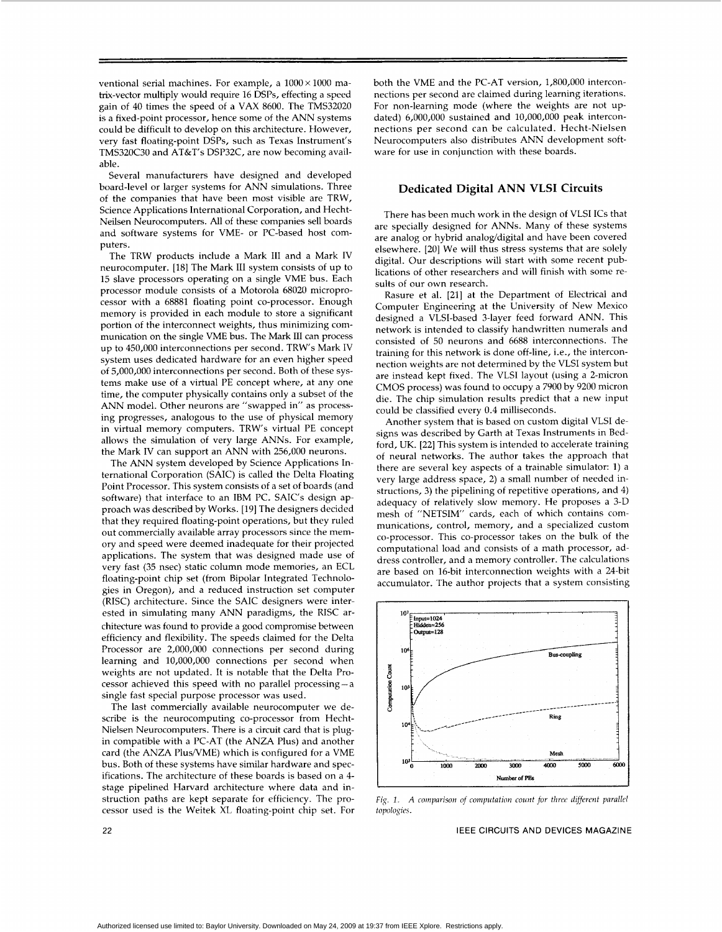ventional serial machines. For example, a  $1000 \times 1000$  matrix-vector multiply would require 16 DSPs, effecting a speed gain of 40 times the speed of a VAX 8600. The TMS32020 is a fixed-point processor, hence some of the ANN systems could be difficult to develop on this architecture. However, very fast floating-point DSPs, such as Texas Instrument's TMS320C30 and AT&T's DSP32C, are now becoming available.

Several manufacturers have designed and developed board-level or larger systems for ANN simulations. Three of the companies that have been most visible are TRW, Science Applications International Corporation, and Hecht-Neilsen Neurocomputers. All of these companies sell boards and software systems for VME- or PC-based host computers.

The TRW products include a Mark III and a Mark IV neurocomputer. 1181 The Mark 111 system consists of up to 15 slave processors operating on a single VME bus. Each processor module consists of a Motorola 68020 microprocessor with a 68881 floating point co-processor. Enough memory is provided in each module to store a significant portion of the interconnect weights, thus minimizing communication on the single VME bus. The Mark III can process up to 450,000 interconnections per second. TRW's Mark IV system uses dedicated hardware for an even higher speed of 5,000,000 interconnections per second. Both of these systems make use of a virtual PE concept where, at any one time, the computer physically contains only a subset of the ANN model. Other neurons are "swapped in" as processing progresses, analogous to the use of physical memory in virtual memory computers. TRW's virtual PE concept allows the simulation of very large ANNs. For example, the Mark IV can support an ANN with 256,000 neurons.

The ANN system developed by Science Applications International corporation (SAIC) is called the Delta Floating Point Processor. This system consists of a set of boards (and software) that interface to an IBM PC. SAIC's design approach was described by Works. 1191 The designers decided that they required floating-point operations, but they ruled out commercially available array processors since the memory and speed were deemed inadequate for their projected applications. The system that was designed made use of very fast (35 nsec) static column mode memories, an ECL floating-point chip set (from Bipolar Integrated Technologies in Oregon), and a reduced instruction set computer (RISC) architecture. Since the SAIC designers were interested in simulating many ANN paradigms, the RISC architecture was found to provide a good compromise between efficiency and flexibility. The speeds claimed for the Delta Processor are 2,000,000 connections per second during learning and 10,000,000 connections per second when weights are not updated. It is notable that the Delta Processor achieved this speed with no parallel processing- a single fast special purpose processor was used.

The last commercially available neurocomputer we describe is the neurocomputing co-processor from Hecht-Nielsen Neurocomputers. There is a circuit card that is plugin compatible with a PC-AT (the ANZA Plus) and another card (the ANZA Plus/VME) which is configured for a VME bus. Both of these systems have similar hardware and specifications. The architecture of these boards is based on a 4 stage pipelined Harvard architecture where data and instruction paths are kept separate for efficiency. The processor used is the Weitek XL floating-point chip set. For both the VME and the PC-AT version, 1,800,000 interconnections per second are claimed during learning iterations. For non-learning mode (where the weights are not updated) 6,000,000 sustained and 10,000,000 peak interconnections per second can be calculated. Hecht-Nielsen Neurocomputers also distributes ANN development software for use in conjunction with these boards.

## **Dedicated Digital ANN VLSI Circuits**

There has been much work in the design of VLSI ICs that are specially designed for ANNs. Many of these systems are analog or hybrid analog/digital and have been covered elsewhere. 1201 We will thus stress systems that are solely digital. Our descriptions will start with some recent publications of other researchers and will finish with some results of our own research.

Rasure et al. [21] at the Department of Electrical and Computer Engineering at the University of New Mexico designed a VLSI-based 3-layer feed forward ANN. This network is intended to classify handwritten numerals and consisted of 50 neurons and 6688 interconnections. The training for this network is done off-line, i.e., the interconnection weights are not determined by the VLSI system but are instead kept fixed. The VLSI layout (using a 2-micron CMOS process) was found to occupy a 7900 by 9200 micron die. The chip simulation results predict that a new input could be classified every 0.4 milliseconds.

Another system that is based on custom digital VLSI designs was described by Garth at Texas Instruments in Bedford, UK. 1221 This system is intended to accelerate training of neural networks. The author takes the approach that there are several key aspects of a trainable simulator: 1) a very large address space, 2) a small number of needed instructions, 3) the pipelining of repetitive operations, and 4) adequacy of relatively slow memory. He proposes a 3-D mesh of "NETSIM' cards, each of which contains communications, control, memory, and a specialized custom co-processor. This co-processor takes on the bulk of the computational load and consists of a math processor, address controller, and a memory controller. The calculations are based on 16-bit interconnection weights with a 24-bit accumulator. The author projects that a system consisting



*Fig. I. A comparison of computation count for three different parallel topologies.*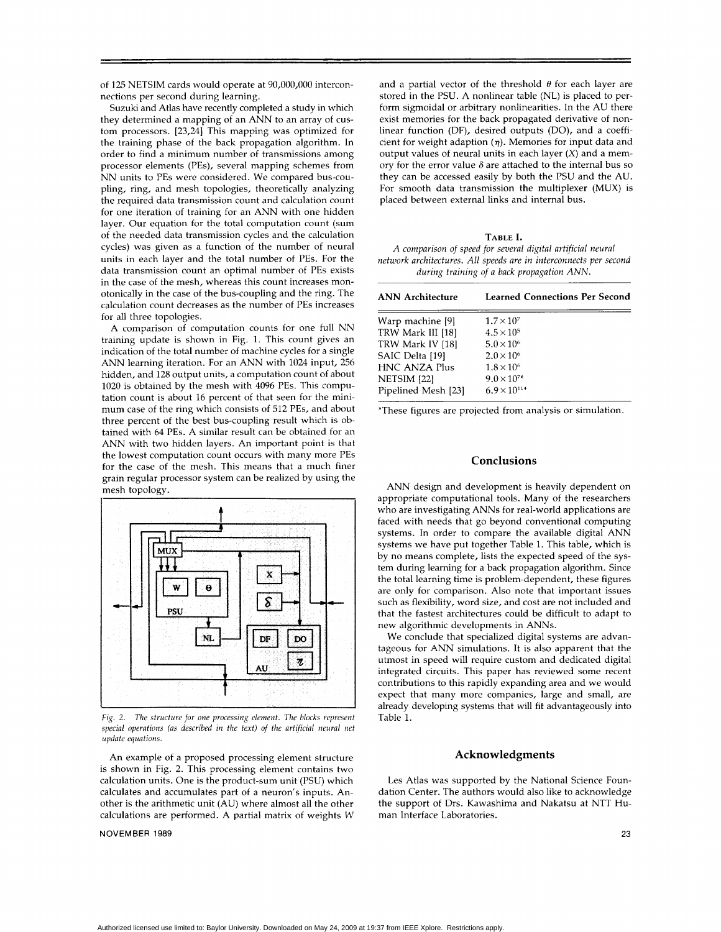<span id="page-3-0"></span>of 125 NETSIM cards would operate at 90,000,000 interconnections per second during learning.

Suzuki and Atlas have recently completed a study in which they determined a mapping of an ANN to an array of custom processors. [23,24] This mapping was optimized for the training phase of the back propagation algorithm. In order to find a minimum number of transmissions among processor elements (PES), several mapping schemes from NN units to PES were considered. We compared bus-coupling, ring, and mesh topologies, theoretically analyzing the required data transmission count and calculation count for one iteration of training for an ANN with one hidden layer. Our equation for the total computation count (sum of the needed data transmission cycles and the calculation cycles) was given as a function of the number of neural units in each layer and the total number of PES. For the data transmission count an optimal number of PES exists in the case of the mesh, whereas this count increases monotonically in the case of the bus-coupling and the ring. The calculation count decreases as the number of PES increases for all three topologies.

A comparison of computation counts for one full NN training update is shown in Fig. 1. This count gives an indication of the total number of machine cycles for a single ANN learning iteration. For an ANN with 1024 input, 256 hidden, and 128 output units, a computation count of about 1020 is obtained by the mesh with 4096 PES. This computation count is about 16 percent of that seen for the minimum case of the ring which consists of 512 PES, and about three percent of the best bus-coupling result which is obtained with 64 PES. A similar result can be obtained for an ANN with two hidden layers. An important point is that the lowest computation count occurs with many more PES for the case of the mesh. This means that a much finer grain regular processor system can be realized by using the mesh topology.



*Fig. 2. The structure for one processing element. The blocks represent special operations (as described in the text)* of *the artificial neural riet update equations.* 

An example of a proposed processing element structure is shown in Fig. 2. This processing element contains two calculation units. One is the product-sum unit (PSU) which calculates and accumulates part of a neuron's inputs. Another is the arithmetic unit (AU) where almost all the other calculations are performed. A partial matrix of weights W

and a partial vector of the threshold  $\theta$  for each layer are stored in the PSU. A nonlinear table (NL) is placed to perform sigmoidal or arbitrary nonlinearities. In the AU there exist memories for the back propagated derivative of nonlinear function (DF), desired outputs (DO), and a coefficient for weight adaption  $(\eta)$ . Memories for input data and output values of neural units in each layer *(X)* and a memory for the error value  $\delta$  are attached to the internal bus so they can be accessed easily by both the PSU and the AU. For smooth data transmission the multiplexer (MUX) is placed between external links and internal bus.

**TABLE I.**  *A comparison* of *speed* for *several digital artificial neural network architectures. All speeds are in interconnects per second during training* of *a back propagation ANN.* 

| <b>ANN</b> Architecture | Learned Connections Per Second |
|-------------------------|--------------------------------|
| Warp machine [9]        | $1.7 \times 10^{7}$            |
| TRW Mark III [18]       | $4.5 \times 10^{5}$            |
| TRW Mark IV [18]        | $5.0 \times 10^{6}$            |
| SAIC Delta [19]         | $2.0 \times 10^{6}$            |
| <b>HNC ANZA Plus</b>    | $1.8 \times 10^{6}$            |
| <b>NETSIM [22]</b>      | $9.0 \times 10^{7*}$           |
| Pipelined Mesh [23]     | $6.9 \times 10^{11*}$          |

\*These figures are projected from analysis or simulation.

#### **Conclusions**

ANN design and development is heavily dependent on appropriate computational tools. Many of the researchers who are investigating ANNs for real-world applications are faced with needs that go beyond conventional computing systems. In order to compare the available digital ANN systems we have put together Table 1. This table, which is by no means complete, lists the expected speed of the system during learning for a back propagation algorithm. Since the total learning time is problem-dependent, these figures are only for comparison. Also note that important issues such as flexibility, word size, and cost are not included and that the fastest architectures could be difficult to adapt to new algorithmic developments in ANNs.

We conclude that specialized digital systems are advantageous for ANN simulations. It is also apparent that the utmost in speed will require custom and dedicated digital integrated circuits. This paper has reviewed some recent contributions to this rapidly expanding area and we would expect that many more companies, large and small, are already developing systems that will fit advantageously into Table 1.

#### **Acknowledgments**

Les Atlas was supported by the National Science Foundation Center. The authors would also like to acknowledge the support of Drs. Kawashima and Nakatsu at NTT Human Interface Laboratories.